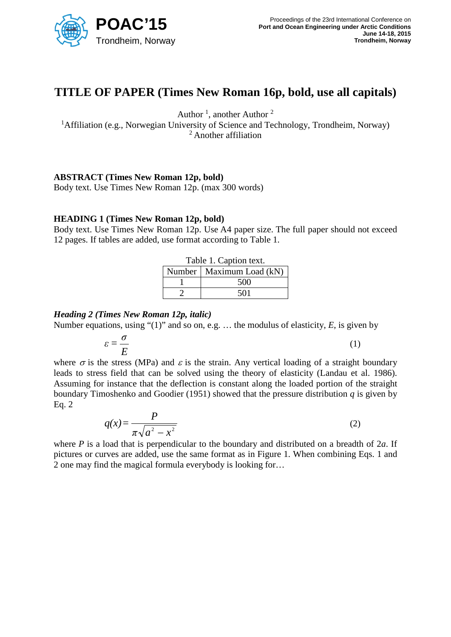

# **TITLE OF PAPER (Times New Roman 16p, bold, use all capitals)**

Author<sup>1</sup>, another Author<sup>2</sup>

<sup>1</sup>Affiliation (e.g., Norwegian University of Science and Technology, Trondheim, Norway) <sup>2</sup> Another affiliation

### **ABSTRACT (Times New Roman 12p, bold)**

Body text. Use Times New Roman 12p. (max 300 words)

### **HEADING 1 (Times New Roman 12p, bold)**

Body text. Use Times New Roman 12p. Use A4 paper size. The full paper should not exceed 12 pages. If tables are added, use format according to Table 1.

| Table 1. Caption text. |                            |
|------------------------|----------------------------|
|                        | Number   Maximum Load (kN) |
|                        | 500                        |
|                        | 501                        |

### *Heading 2 (Times New Roman 12p, italic)*

Number equations, using "(1)" and so on, e.g. … the modulus of elasticity, *E*, is given by

$$
\varepsilon = \frac{\sigma}{E} \tag{1}
$$

where  $\sigma$  is the stress (MPa) and  $\varepsilon$  is the strain. Any vertical loading of a straight boundary leads to stress field that can be solved using the theory of elasticity (Landau et al. 1986). Assuming for instance that the deflection is constant along the loaded portion of the straight boundary Timoshenko and Goodier (1951) showed that the pressure distribution *q* is given by Eq. 2

$$
q(x) = \frac{P}{\pi \sqrt{a^2 - x^2}}\tag{2}
$$

where *P* is a load that is perpendicular to the boundary and distributed on a breadth of 2*a*. If pictures or curves are added, use the same format as in Figure 1. When combining Eqs. 1 and 2 one may find the magical formula everybody is looking for…